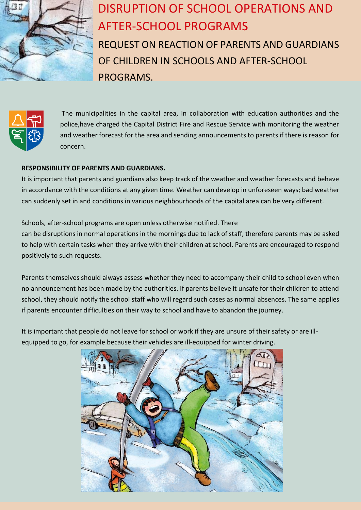

## DISRUPTION OF SCHOOL OPERATIONS AND AFTER-SCHOOL PROGRAMS

REQUEST ON REACTION OF PARENTS AND GUARDIANS OF CHILDREN IN SCHOOLS AND AFTER-SCHOOL PROGRAMS.



The municipalities in the capital area, in collaboration with education authorities and the police,have charged the Capital District Fire and Rescue Service with monitoring the weather and weather forecast for the area and sending announcements to parents if there is reason for concern.

## **RESPONSIBILITY OF PARENTS AND GUARDIANS.**

It is important that parents and guardians also keep track of the weather and weather forecasts and behave in accordance with the conditions at any given time. Weather can develop in unforeseen ways; bad weather can suddenly set in and conditions in various neighbourhoods of the capital area can be very different.

Schools, after-school programs are open unless otherwise notified. There can be disruptions in normal operations in the mornings due to lack of staff, therefore parents may be asked to help with certain tasks when they arrive with their children at school. Parents are encouraged to respond positively to such requests.

Parents themselves should always assess whether they need to accompany their child to school even when no announcement has been made by the authorities. If parents believe it unsafe for their children to attend school, they should notify the school staff who will regard such cases as normal absences. The same applies if parents encounter difficulties on their way to school and have to abandon the journey.

It is important that people do not leave for school or work if they are unsure of their safety or are illequipped to go, for example because their vehicles are ill-equipped for winter driving.